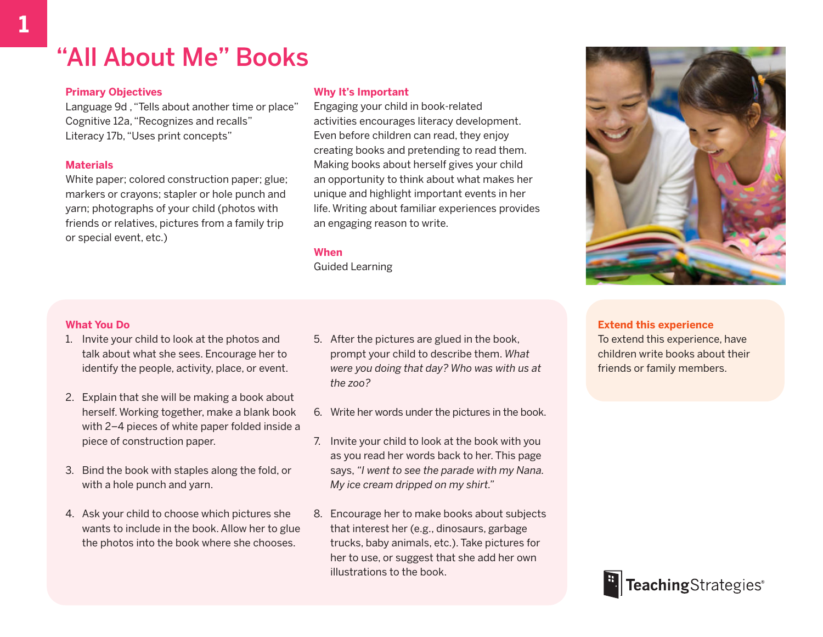## "All About Me" Books

#### **Primary Objectives**

Language 9d , "Tells about another time or place" Cognitive 12a, "Recognizes and recalls" Literacy 17b, "Uses print concepts"

#### **Materials**

White paper; colored construction paper; glue; markers or crayons; stapler or hole punch and yarn; photographs of your child (photos with friends or relatives, pictures from a family trip or special event, etc.)

#### **Why It's Important**

Engaging your child in book-related activities encourages literacy development. Even before children can read, they enjoy creating books and pretending to read them. Making books about herself gives your child an opportunity to think about what makes her unique and highlight important events in her life. Writing about familiar experiences provides an engaging reason to write.

#### **When**

Guided Learning

#### **What You Do**

- 1. Invite your child to look at the photos and talk about what she sees. Encourage her to identify the people, activity, place, or event.
- 2. Explain that she will be making a book about herself. Working together, make a blank book with 2–4 pieces of white paper folded inside a piece of construction paper.
- 3. Bind the book with staples along the fold, or with a hole punch and yarn.
- 4. Ask your child to choose which pictures she wants to include in the book. Allow her to glue the photos into the book where she chooses.
- 5. After the pictures are glued in the book, prompt your child to describe them. *What were you doing that day? Who was with us at the zoo?*
- 6. Write her words under the pictures in the book.
- 7. Invite your child to look at the book with you as you read her words back to her. This page says, *"I went to see the parade with my Nana. My ice cream dripped on my shirt."*
- 8. Encourage her to make books about subjects that interest her (e.g., dinosaurs, garbage trucks, baby animals, etc.). Take pictures for her to use, or suggest that she add her own illustrations to the book.



#### **Extend this experience**

To extend this experience, have children write books about their friends or family members.